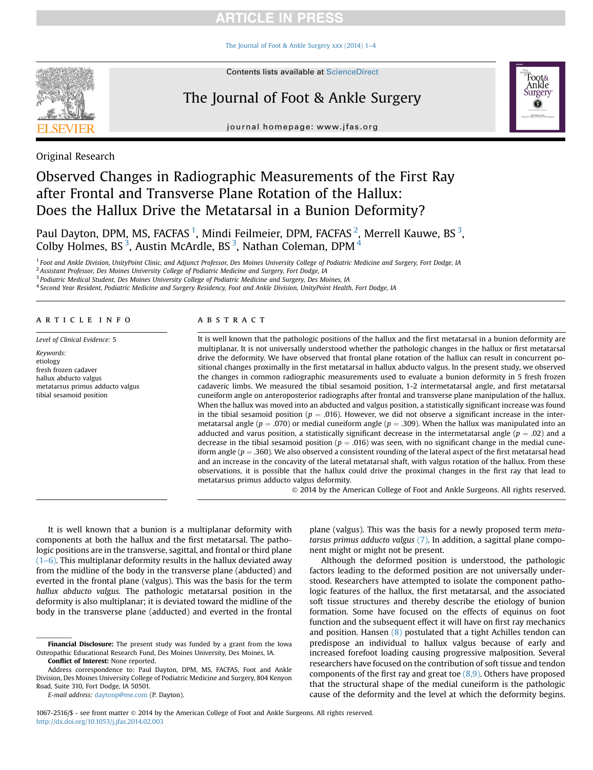# **RTICLE IN PRESS**

[The Journal of Foot & Ankle Surgery xxx \(2014\) 1](http://dx.doi.org/10.1053/j.jfas.2014.02.003)–4



**Contents lists available at ScienceDirect** 

## The Journal of Foot & Ankle Surgery



journal homepage: [www.jfas.org](http://www.jfas.org)

Original Research

# Observed Changes in Radiographic Measurements of the First Ray after Frontal and Transverse Plane Rotation of the Hallux: Does the Hallux Drive the Metatarsal in a Bunion Deformity?

Paul Dayton, DPM, MS, FACFAS  $^1$ , Mindi Feilmeier, DPM, FACFAS  $^2$ , Merrell Kauwe, BS  $^3$ , Colby Holmes, BS<sup>3</sup>, Austin McArdle, BS<sup>3</sup>, Nathan Coleman, DPM<sup>4</sup>

<sup>1</sup> Foot and Ankle Division, UnityPoint Clinic, and Adjunct Professor, Des Moines University College of Podiatric Medicine and Surgery, Fort Dodge, IA

<sup>2</sup> Assistant Professor, Des Moines University College of Podiatric Medicine and Surgery, Fort Dodge, IA

<sup>3</sup> Podiatric Medical Student, Des Moines University College of Podiatric Medicine and Surgery, Des Moines, IA

<sup>4</sup> Second Year Resident, Podiatric Medicine and Surgery Residency, Foot and Ankle Division, UnityPoint Health, Fort Dodge, IA

### article info

Level of Clinical Evidence: 5

Keywords: etiology fresh frozen cadaver hallux abducto valgus metatarsus primus adducto valgus tibial sesamoid position

### ABSTRACT

It is well known that the pathologic positions of the hallux and the first metatarsal in a bunion deformity are multiplanar. It is not universally understood whether the pathologic changes in the hallux or first metatarsal drive the deformity. We have observed that frontal plane rotation of the hallux can result in concurrent positional changes proximally in the first metatarsal in hallux abducto valgus. In the present study, we observed the changes in common radiographic measurements used to evaluate a bunion deformity in 5 fresh frozen cadaveric limbs. We measured the tibial sesamoid position, 1-2 intermetatarsal angle, and first metatarsal cuneiform angle on anteroposterior radiographs after frontal and transverse plane manipulation of the hallux. When the hallux was moved into an abducted and valgus position, a statistically significant increase was found in the tibial sesamoid position ( $p = .016$ ). However, we did not observe a significant increase in the intermetatarsal angle ( $p = .070$ ) or medial cuneiform angle ( $p = .309$ ). When the hallux was manipulated into an adducted and varus position, a statistically significant decrease in the intermetatarsal angle ( $p = .02$ ) and a decrease in the tibial sesamoid position ( $p = .016$ ) was seen, with no significant change in the medial cuneiform angle ( $p = .360$ ). We also observed a consistent rounding of the lateral aspect of the first metatarsal head and an increase in the concavity of the lateral metatarsal shaft, with valgus rotation of the hallux. From these observations, it is possible that the hallux could drive the proximal changes in the first ray that lead to metatarsus primus adducto valgus deformity.

2014 by the American College of Foot and Ankle Surgeons. All rights reserved.

It is well known that a bunion is a multiplanar deformity with components at both the hallux and the first metatarsal. The pathologic positions are in the transverse, sagittal, and frontal or third plane  $(1-6)$  $(1-6)$ . This multiplanar deformity results in the hallux deviated away from the midline of the body in the transverse plane (abducted) and everted in the frontal plane (valgus). This was the basis for the term hallux abducto valgus. The pathologic metatarsal position in the deformity is also multiplanar; it is deviated toward the midline of the body in the transverse plane (adducted) and everted in the frontal

E-mail address: [daytonp@me.com](mailto:daytonp@me.com) (P. Dayton).

plane (valgus). This was the basis for a newly proposed term metatarsus primus adducto valgus [\(7\)](#page-3-0). In addition, a sagittal plane component might or might not be present.

Although the deformed position is understood, the pathologic factors leading to the deformed position are not universally understood. Researchers have attempted to isolate the component pathologic features of the hallux, the first metatarsal, and the associated soft tissue structures and thereby describe the etiology of bunion formation. Some have focused on the effects of equinus on foot function and the subsequent effect it will have on first ray mechanics and position. Hansen  $(8)$  postulated that a tight Achilles tendon can predispose an individual to hallux valgus because of early and increased forefoot loading causing progressive malposition. Several researchers have focused on the contribution of soft tissue and tendon components of the first ray and great toe  $(8,9)$ . Others have proposed that the structural shape of the medial cuneiform is the pathologic cause of the deformity and the level at which the deformity begins.

1067-2516/\$ - see front matter  $\circ$  2014 by the American College of Foot and Ankle Surgeons. All rights reserved. <http://dx.doi.org/10.1053/j.jfas.2014.02.003>

Financial Disclosure: The present study was funded by a grant from the Iowa Osteopathic Educational Research Fund, Des Moines University, Des Moines, IA. Conflict of Interest: None reported.

Address correspondence to: Paul Dayton, DPM, MS, FACFAS, Foot and Ankle Division, Des Moines University College of Podiatric Medicine and Surgery, 804 Kenyon Road, Suite 310, Fort Dodge, IA 50501.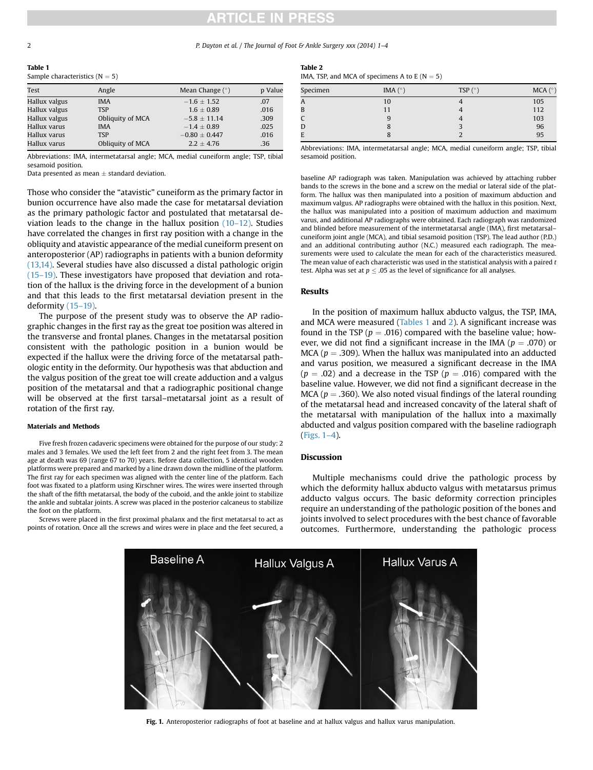## RTICLE IN PRESS

<span id="page-1-0"></span>2 **P. Dayton et al. / The Journal of Foot & Ankle Surgery xxx (2014) 1–4** 

| Table 1 |                                    |  |  |
|---------|------------------------------------|--|--|
|         | Sample characteristics ( $N = 5$ ) |  |  |

| Test          | Angle                   | Mean Change $(°)$ | p Value |
|---------------|-------------------------|-------------------|---------|
| Hallux valgus | <b>IMA</b>              | $-1.6 \pm 1.52$   | .07     |
| Hallux valgus | <b>TSP</b>              | $1.6 \pm 0.89$    | .016    |
| Hallux valgus | Obliquity of MCA        | $-5.8 + 11.14$    | .309    |
| Hallux varus  | <b>IMA</b>              | $-1.4 \pm 0.89$   | .025    |
| Hallux varus  | <b>TSP</b>              | $-0.80 \pm 0.447$ | .016    |
| Hallux varus  | <b>Obliquity of MCA</b> | $2.2 \pm 4.76$    | .36     |
|               |                         |                   |         |

Abbreviations: IMA, intermetatarsal angle; MCA, medial cuneiform angle; TSP, tibial sesamoid position.

Data presented as mean  $\pm$  standard deviation.

Those who consider the "atavistic" cuneiform as the primary factor in bunion occurrence have also made the case for metatarsal deviation as the primary pathologic factor and postulated that metatarsal deviation leads to the change in the hallux position  $(10-12)$  $(10-12)$ . Studies have correlated the changes in first ray position with a change in the obliquity and atavistic appearance of the medial cuneiform present on anteroposterior (AP) radiographs in patients with a bunion deformity [\(13,14\)](#page-3-0). Several studies have also discussed a distal pathologic origin (15–[19\).](#page-3-0) These investigators have proposed that deviation and rotation of the hallux is the driving force in the development of a bunion and that this leads to the first metatarsal deviation present in the deformity [\(15](#page-3-0)–19).

The purpose of the present study was to observe the AP radiographic changes in the first ray as the great toe position was altered in the transverse and frontal planes. Changes in the metatarsal position consistent with the pathologic position in a bunion would be expected if the hallux were the driving force of the metatarsal pathologic entity in the deformity. Our hypothesis was that abduction and the valgus position of the great toe will create adduction and a valgus position of the metatarsal and that a radiographic positional change will be observed at the first tarsal–metatarsal joint as a result of rotation of the first ray.

#### Materials and Methods

Five fresh frozen cadaveric specimens were obtained for the purpose of our study: 2 males and 3 females. We used the left feet from 2 and the right feet from 3. The mean age at death was 69 (range 67 to 70) years. Before data collection, 5 identical wooden platforms were prepared and marked by a line drawn down the midline of the platform. The first ray for each specimen was aligned with the center line of the platform. Each foot was fixated to a platform using Kirschner wires. The wires were inserted through the shaft of the fifth metatarsal, the body of the cuboid, and the ankle joint to stabilize the ankle and subtalar joints. A screw was placed in the posterior calcaneus to stabilize the foot on the platform.

Screws were placed in the first proximal phalanx and the first metatarsal to act as points of rotation. Once all the screws and wires were in place and the feet secured, a

| Table 2 |  |  |  |
|---------|--|--|--|
|         |  |  |  |

IMA, TSP, and MCA of specimens A to E ( $N = 5$ )

| Specimen | IMA $(°)$ | TSP $(°)$ | $MCA(^{\circ})$ |
|----------|-----------|-----------|-----------------|
| A        | 10        |           | 105             |
| B        | 11        |           | 112             |
|          | 9         |           | 103             |
| D        | 8         |           | 96<br>95        |
| E        | 8         |           |                 |

Abbreviations: IMA, intermetatarsal angle; MCA, medial cuneiform angle; TSP, tibial sesamoid position.

baseline AP radiograph was taken. Manipulation was achieved by attaching rubber bands to the screws in the bone and a screw on the medial or lateral side of the platform. The hallux was then manipulated into a position of maximum abduction and maximum valgus. AP radiographs were obtained with the hallux in this position. Next, the hallux was manipulated into a position of maximum adduction and maximum varus, and additional AP radiographs were obtained. Each radiograph was randomized and blinded before measurement of the intermetatarsal angle (IMA), first metatarsal– cuneiform joint angle (MCA), and tibial sesamoid position (TSP). The lead author (P.D.) and an additional contributing author (N.C.) measured each radiograph. The measurements were used to calculate the mean for each of the characteristics measured. The mean value of each characteristic was used in the statistical analysis with a paired  $t$ test. Alpha was set at  $p \leq .05$  as the level of significance for all analyses.

#### Results

In the position of maximum hallux abducto valgus, the TSP, IMA, and MCA were measured (Tables 1 and 2). A significant increase was found in the TSP ( $p = .016$ ) compared with the baseline value; however, we did not find a significant increase in the IMA ( $p = .070$ ) or MCA ( $p = .309$ ). When the hallux was manipulated into an adducted and varus position, we measured a significant decrease in the IMA  $(p = .02)$  and a decrease in the TSP  $(p = .016)$  compared with the baseline value. However, we did not find a significant decrease in the MCA ( $p = .360$ ). We also noted visual findings of the lateral rounding of the metatarsal head and increased concavity of the lateral shaft of the metatarsal with manipulation of the hallux into a maximally abducted and valgus position compared with the baseline radiograph (Figs. 1–4).

#### Discussion

Multiple mechanisms could drive the pathologic process by which the deformity hallux abducto valgus with metatarsus primus adducto valgus occurs. The basic deformity correction principles require an understanding of the pathologic position of the bones and joints involved to select procedures with the best chance of favorable outcomes. Furthermore, understanding the pathologic process



Fig. 1. Anteroposterior radiographs of foot at baseline and at hallux valgus and hallux varus manipulation.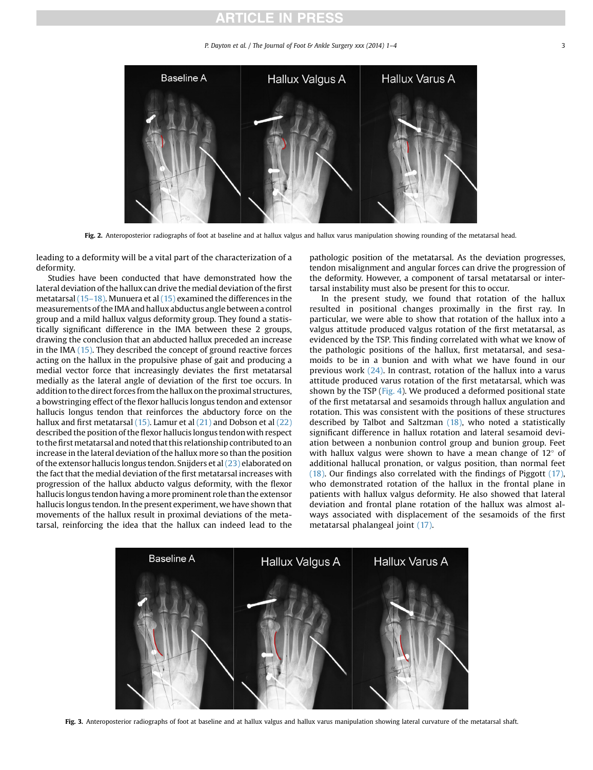# **ARTICLE IN PRESS**

P. Dayton et al. / The Journal of Foot & Ankle Surgery xxx (2014) 1–4 3



Fig. 2. Anteroposterior radiographs of foot at baseline and at hallux valgus and hallux varus manipulation showing rounding of the metatarsal head.

leading to a deformity will be a vital part of the characterization of a deformity.

Studies have been conducted that have demonstrated how the lateral deviation of the hallux can drive the medial deviation of the first metatarsal [\(15](#page-3-0)–18). Munuera et al [\(15\)](#page-3-0) examined the differences in the measurements of the IMA and hallux abductus angle between a control group and a mild hallux valgus deformity group. They found a statistically significant difference in the IMA between these 2 groups, drawing the conclusion that an abducted hallux preceded an increase in the IMA [\(15\).](#page-3-0) They described the concept of ground reactive forces acting on the hallux in the propulsive phase of gait and producing a medial vector force that increasingly deviates the first metatarsal medially as the lateral angle of deviation of the first toe occurs. In addition to the direct forces from the hallux on the proximal structures, a bowstringing effect of the flexor hallucis longus tendon and extensor hallucis longus tendon that reinforces the abductory force on the hallux and first metatarsal  $(15)$ . Lamur et al  $(21)$  and Dobson et al  $(22)$ described the position of the flexor hallucis longus tendon with respect to the first metatarsal and noted that this relationship contributed to an increase in the lateral deviation of the hallux more so than the position of the extensor hallucis longus tendon. Snijders et al  $(23)$  elaborated on the fact that the medial deviation of the first metatarsal increases with progression of the hallux abducto valgus deformity, with the flexor hallucis longus tendon having a more prominent role than the extensor hallucis longus tendon. In the present experiment, we have shown that movements of the hallux result in proximal deviations of the metatarsal, reinforcing the idea that the hallux can indeed lead to the pathologic position of the metatarsal. As the deviation progresses, tendon misalignment and angular forces can drive the progression of the deformity. However, a component of tarsal metatarsal or intertarsal instability must also be present for this to occur.

In the present study, we found that rotation of the hallux resulted in positional changes proximally in the first ray. In particular, we were able to show that rotation of the hallux into a valgus attitude produced valgus rotation of the first metatarsal, as evidenced by the TSP. This finding correlated with what we know of the pathologic positions of the hallux, first metatarsal, and sesamoids to be in a bunion and with what we have found in our previous work  $(24)$ . In contrast, rotation of the hallux into a varus attitude produced varus rotation of the first metatarsal, which was shown by the TSP ([Fig. 4\)](#page-3-0). We produced a deformed positional state of the first metatarsal and sesamoids through hallux angulation and rotation. This was consistent with the positions of these structures described by Talbot and Saltzman [\(18\)](#page-3-0), who noted a statistically significant difference in hallux rotation and lateral sesamoid deviation between a nonbunion control group and bunion group. Feet with hallux valgus were shown to have a mean change of  $12^{\circ}$  of additional hallucal pronation, or valgus position, than normal feet [\(18\)](#page-3-0). Our findings also correlated with the findings of Piggott [\(17\)](#page-3-0), who demonstrated rotation of the hallux in the frontal plane in patients with hallux valgus deformity. He also showed that lateral deviation and frontal plane rotation of the hallux was almost always associated with displacement of the sesamoids of the first metatarsal phalangeal joint [\(17\).](#page-3-0)



Fig. 3. Anteroposterior radiographs of foot at baseline and at hallux valgus and hallux varus manipulation showing lateral curvature of the metatarsal shaft.